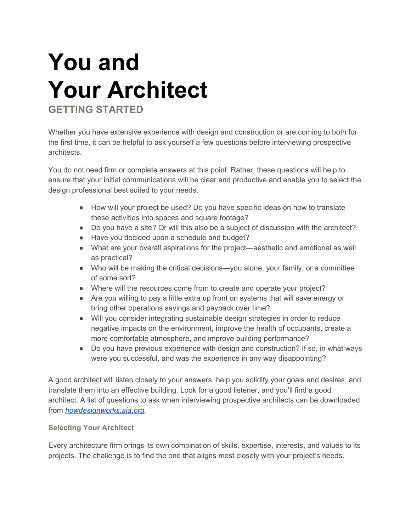# **You and Your Architect GETTING STARTED**

Whether you have extensive experience with design and construction or are coming to both for the first time, it can be helpful to ask yourself a few questions before interviewing prospective architects.

You do not need firm or complete answers at this point. Rather, these questions will help to ensure that your initial communications will be clear and productive and enable you to select the design professional best suited to your needs.

- How will your project be used? Do you have specific ideas on how to translate these activities into spaces and square footage?
- Do you have a site? Or will this also be a subject of discussion with the architect?
- Have you decided upon a schedule and budget?
- What are your overall aspirations for the project—aesthetic and emotional as well as practical?
- Who will be making the critical decisions—you alone, your family, or a committee of some sort?
- Where will the resources come from to create and operate your project?
- Are you willing to pay a little extra up front on systems that will save energy or bring other operations savings and payback over time?
- Will you consider integrating sustainable design strategies in order to reduce negative impacts on the environment, improve the health of occupants, create a more comfortable atmosphere, and improve building performance?
- Do you have previous experience with design and construction? If so, in what ways were you successful, and was the experience in any way disappointing?

A good architect will listen closely to your answers, help you solidify your goals and desires, and translate them into an effective building. Look for a good listener, and you'll find a good architect. A list of questions to ask when interviewing prospective architects can be downloaded from *[howdesignworks.aia.org.](http://howdesignworks.aia.org/)*

# **Selecting Your Architect**

Every architecture firm brings its own combination of skills, expertise, interests, and values to its projects. The challenge is to find the one that aligns most closely with your project's needs.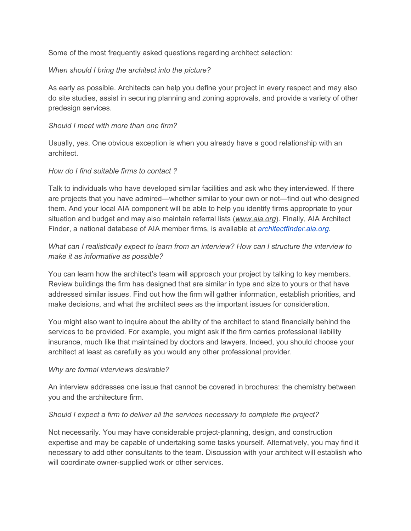Some of the most frequently asked questions regarding architect selection:

## *When should I bring the architect into the picture?*

As early as possible. Architects can help you define your project in every respect and may also do site studies, assist in securing planning and zoning approvals, and provide a variety of other predesign services.

## *Should I meet with more than one firm?*

Usually, yes. One obvious exception is when you already have a good relationship with an architect.

## *How do I find suitable firms to contact ?*

Talk to individuals who have developed similar facilities and ask who they interviewed. If there are projects that you have admired—whether similar to your own or not—find out who designed them. And your local AIA component will be able to help you identify firms appropriate to your situation and budget and may also maintain referral lists (*[www.aia.org](http://www.aia.org/)*). Finally, AIA Architect Finder, a national database of AIA member firms, is available a[t](http://architectfinder.aia.org/) *[architectfinder.aia.org.](http://architectfinder.aia.org/)*

# *What can I realistically expect to learn from an interview? How can I structure the interview to make it as informative as possible?*

You can learn how the architect's team will approach your project by talking to key members. Review buildings the firm has designed that are similar in type and size to yours or that have addressed similar issues. Find out how the firm will gather information, establish priorities, and make decisions, and what the architect sees as the important issues for consideration.

You might also want to inquire about the ability of the architect to stand financially behind the services to be provided. For example, you might ask if the firm carries professional liability insurance, much like that maintained by doctors and lawyers. Indeed, you should choose your architect at least as carefully as you would any other professional provider.

#### *Why are formal interviews desirable?*

An interview addresses one issue that cannot be covered in brochures: the chemistry between you and the architecture firm.

#### *Should I expect a firm to deliver all the services necessary to complete the project?*

Not necessarily. You may have considerable project-planning, design, and construction expertise and may be capable of undertaking some tasks yourself. Alternatively, you may find it necessary to add other consultants to the team. Discussion with your architect will establish who will coordinate owner-supplied work or other services.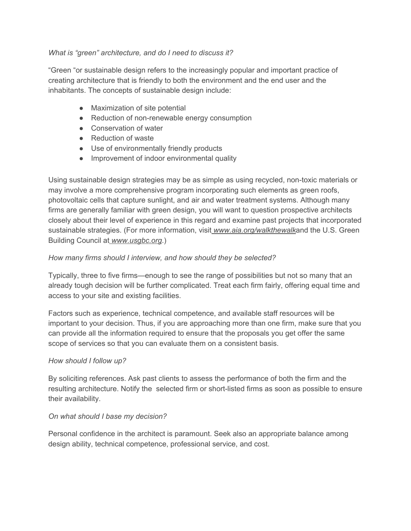## *What is "green" architecture, and do I need to discuss it?*

"Green "or sustainable design refers to the increasingly popular and important practice of creating architecture that is friendly to both the environment and the end user and the inhabitants. The concepts of sustainable design include:

- Maximization of site potential
- Reduction of non-renewable energy consumption
- Conservation of water
- Reduction of waste
- Use of environmentally friendly products
- Improvement of indoor environmental quality

Using sustainable design strategies may be as simple as using recycled, non-toxic materials or may involve a more comprehensive program incorporating such elements as green roofs, photovoltaic cells that capture sunlight, and air and water treatment systems. Although many firms are generally familiar with green design, you will want to question prospective architects closely about their level of experience in this regard and examine past projects that incorporated sustainable strategies. (For more information, visi[t](http://www.aia.org/walkthewalk) *[www.aia.org/walkthewalk](http://www.aia.org/walkthewalk)*and the U.S. Green Building Council a[t](http://www.usgbc.org/) *[www.usgbc.org](http://www.usgbc.org/)*.)

## *How many firms should I interview, and how should they be selected?*

Typically, three to five firms—enough to see the range of possibilities but not so many that an already tough decision will be further complicated. Treat each firm fairly, offering equal time and access to your site and existing facilities.

Factors such as experience, technical competence, and available staff resources will be important to your decision. Thus, if you are approaching more than one firm, make sure that you can provide all the information required to ensure that the proposals you get offer the same scope of services so that you can evaluate them on a consistent basis.

#### *How should I follow up?*

By soliciting references. Ask past clients to assess the performance of both the firm and the resulting architecture. Notify the selected firm or short-listed firms as soon as possible to ensure their availability.

#### *On what should I base my decision?*

Personal confidence in the architect is paramount. Seek also an appropriate balance among design ability, technical competence, professional service, and cost.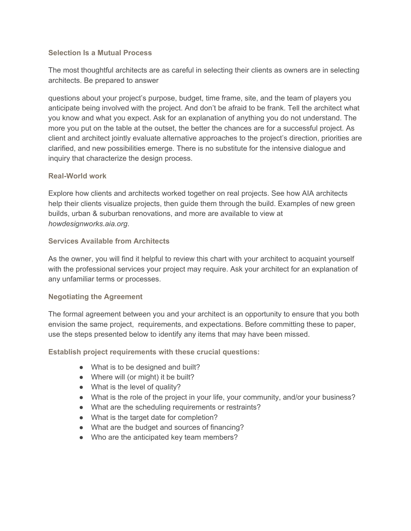#### **Selection Is a Mutual Process**

The most thoughtful architects are as careful in selecting their clients as owners are in selecting architects. Be prepared to answer

questions about your project's purpose, budget, time frame, site, and the team of players you anticipate being involved with the project. And don't be afraid to be frank. Tell the architect what you know and what you expect. Ask for an explanation of anything you do not understand. The more you put on the table at the outset, the better the chances are for a successful project. As client and architect jointly evaluate alternative approaches to the project's direction, priorities are clarified, and new possibilities emerge. There is no substitute for the intensive dialogue and inquiry that characterize the design process.

## **Real-World work**

Explore how clients and architects worked together on real projects. See how AIA architects help their clients visualize projects, then guide them through the build. Examples of new green builds, urban & suburban renovations, and more are available to view at *howdesignworks.aia.org*.

## **Services Available from Architects**

As the owner, you will find it helpful to review this chart with your architect to acquaint yourself with the professional services your project may require. Ask your architect for an explanation of any unfamiliar terms or processes.

# **Negotiating the Agreement**

The formal agreement between you and your architect is an opportunity to ensure that you both envision the same project, requirements, and expectations. Before committing these to paper, use the steps presented below to identify any items that may have been missed.

**Establish project requirements with these crucial questions:**

- What is to be designed and built?
- Where will (or might) it be built?
- What is the level of quality?
- What is the role of the project in your life, your community, and/or your business?
- What are the scheduling requirements or restraints?
- What is the target date for completion?
- What are the budget and sources of financing?
- Who are the anticipated key team members?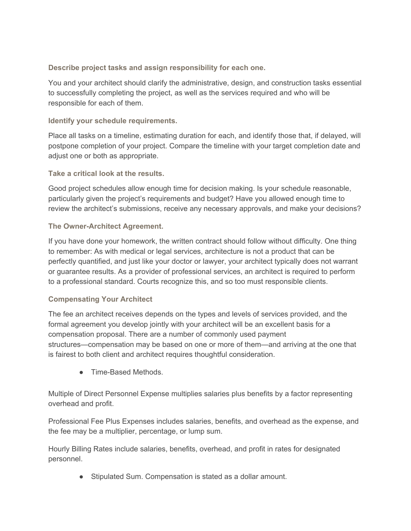**Describe project tasks and assign responsibility for each one.**

You and your architect should clarify the administrative, design, and construction tasks essential to successfully completing the project, as well as the services required and who will be responsible for each of them.

**Identify your schedule requirements.**

Place all tasks on a timeline, estimating duration for each, and identify those that, if delayed, will postpone completion of your project. Compare the timeline with your target completion date and adjust one or both as appropriate.

**Take a critical look at the results.**

Good project schedules allow enough time for decision making. Is your schedule reasonable, particularly given the project's requirements and budget? Have you allowed enough time to review the architect's submissions, receive any necessary approvals, and make your decisions?

# **The Owner-Architect Agreement.**

If you have done your homework, the written contract should follow without difficulty. One thing to remember: As with medical or legal services, architecture is not a product that can be perfectly quantified, and just like your doctor or lawyer, your architect typically does not warrant or guarantee results. As a provider of professional services, an architect is required to perform to a professional standard. Courts recognize this, and so too must responsible clients.

# **Compensating Your Architect**

The fee an architect receives depends on the types and levels of services provided, and the formal agreement you develop jointly with your architect will be an excellent basis for a compensation proposal. There are a number of commonly used payment structures—compensation may be based on one or more of them—and arriving at the one that is fairest to both client and architect requires thoughtful consideration.

● Time-Based Methods.

Multiple of Direct Personnel Expense multiplies salaries plus benefits by a factor representing overhead and profit.

Professional Fee Plus Expenses includes salaries, benefits, and overhead as the expense, and the fee may be a multiplier, percentage, or lump sum.

Hourly Billing Rates include salaries, benefits, overhead, and profit in rates for designated personnel.

● Stipulated Sum. Compensation is stated as a dollar amount.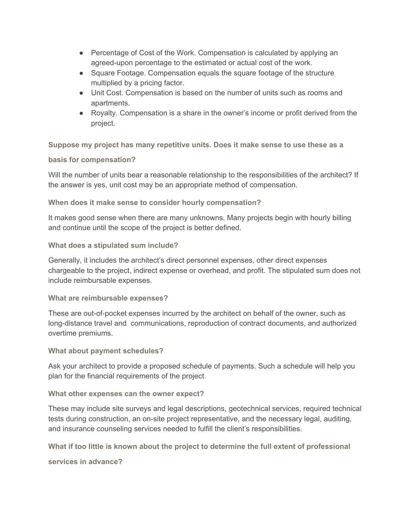- Percentage of Cost of the Work. Compensation is calculated by applying an agreed-upon percentage to the estimated or actual cost of the work.
- Square Footage. Compensation equals the square footage of the structure multiplied by a pricing factor.
- Unit Cost. Compensation is based on the number of units such as rooms and apartments.
- Royalty. Compensation is a share in the owner's income or profit derived from the project.

**Suppose my project has many repetitive units. Does it make sense to use these as a**

## **basis for compensation?**

Will the number of units bear a reasonable relationship to the responsibilities of the architect? If the answer is yes, unit cost may be an appropriate method of compensation.

# **When does it make sense to consider hourly compensation?**

It makes good sense when there are many unknowns. Many projects begin with hourly billing and continue until the scope of the project is better defined.

# **What does a stipulated sum include?**

Generally, it includes the architect's direct personnel expenses, other direct expenses chargeable to the project, indirect expense or overhead, and profit. The stipulated sum does not include reimbursable expenses.

# **What are reimbursable expenses?**

These are out-of-pocket expenses incurred by the architect on behalf of the owner, such as long-distance travel and communications, reproduction of contract documents, and authorized overtime premiums.

# **What about payment schedules?**

Ask your architect to provide a proposed schedule of payments. Such a schedule will help you plan for the financial requirements of the project.

#### **What other expenses can the owner expect?**

These may include site surveys and legal descriptions, geotechnical services, required technical tests during construction, an on-site project representative, and the necessary legal, auditing, and insurance counseling services needed to fulfill the client's responsibilities.

**What if too little is known about the project to determine the full extent of professional**

**services in advance?**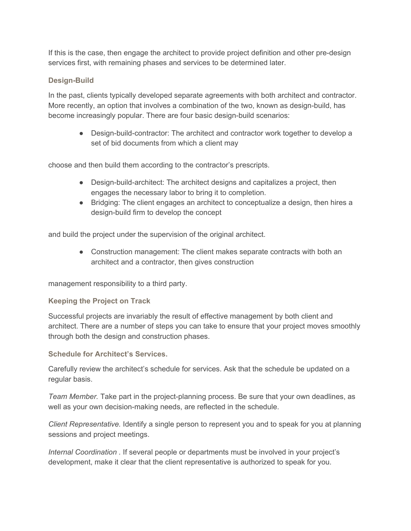If this is the case, then engage the architect to provide project definition and other pre-design services first, with remaining phases and services to be determined later.

# **Design-Build**

In the past, clients typically developed separate agreements with both architect and contractor. More recently, an option that involves a combination of the two, known as design-build, has become increasingly popular. There are four basic design-build scenarios:

● Design-build-contractor: The architect and contractor work together to develop a set of bid documents from which a client may

choose and then build them according to the contractor's prescripts.

- Design-build-architect: The architect designs and capitalizes a project, then engages the necessary labor to bring it to completion.
- Bridging: The client engages an architect to conceptualize a design, then hires a design-build firm to develop the concept

and build the project under the supervision of the original architect.

• Construction management: The client makes separate contracts with both an architect and a contractor, then gives construction

management responsibility to a third party.

# **Keeping the Project on Track**

Successful projects are invariably the result of effective management by both client and architect. There are a number of steps you can take to ensure that your project moves smoothly through both the design and construction phases.

**Schedule for Architect's Services.**

Carefully review the architect's schedule for services. Ask that the schedule be updated on a regular basis.

*Team Member.* Take part in the project-planning process. Be sure that your own deadlines, as well as your own decision-making needs, are reflected in the schedule.

*Client Representative.* Identify a single person to represent you and to speak for you at planning sessions and project meetings.

*Internal Coordination .* If several people or departments must be involved in your project's development, make it clear that the client representative is authorized to speak for you.